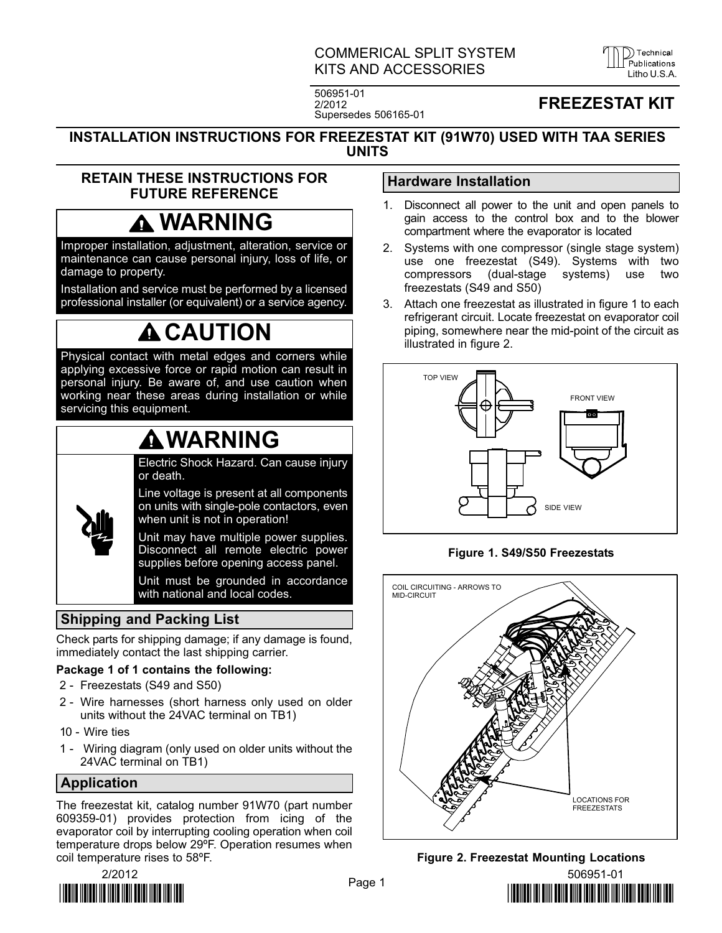COMMERICAL SPLIT SYSTEM KITS AND ACCESSORIES LITTLE LITTLE LITTLE LITTLE LITTLE LITTLE LITTLE LITTLE LITTLE LITTLE LITTLE LITTLE LITTLE

D Technical

506951−01 2/2012 Supersedes 506165−01

# FREEZESTAT KIT

#### INSTALLATION INSTRUCTIONS FOR FREEZESTAT KIT (91W70) USED WITH TAA SERIES UNITS

## RETAIN THESE INSTRUCTIONS FOR FUTURE REFERENCE

# WARNING

Improper installation, adjustment, alteration, service or maintenance can cause personal injury, loss of life, or damage to property.

Installation and service must be performed by a licensed professional installer (or equivalent) or a service agency.

# **A CAUTION**

Physical contact with metal edges and corners while applying excessive force or rapid motion can result in personal injury. Be aware of, and use caution when working near these areas during installation or while servicing this equipment.

# WARNING

Electric Shock Hazard. Can cause injury or death.

Line voltage is present at all components on units with single-pole contactors, even when unit is not in operation!

Unit may have multiple power supplies. Disconnect all remote electric power supplies before opening access panel.

Unit must be grounded in accordance with national and local codes.

# Shipping and Packing List

Check parts for shipping damage; if any damage is found, immediately contact the last shipping carrier.

## Package 1 of 1 contains the following:

- 2 Freezestats (S49 and S50)
- 2 − Wire harnesses (short harness only used on older units without the 24VAC terminal on TB1)
- 10 − Wire ties
- 1 − Wiring diagram (only used on older units without the 24VAC terminal on TB1)

# Application

The freezestat kit, catalog number 91W70 (part number 609359−01) provides protection from icing of the evaporator coil by interrupting cooling operation when coil temperature drops below 29ºF. Operation resumes when coil temperature rises to 58ºF.



## Hardware Installation

- 1. Disconnect all power to the unit and open panels to gain access to the control box and to the blower compartment where the evaporator is located
- 2. Systems with one compressor (single stage system) use one freezestat (S49). Systems with two compressors (dual−stage systems) use two freezestats (S49 and S50)
- 3. Attach one freezestat as illustrated in figure 1 to each refrigerant circuit. Locate freezestat on evaporator coil piping, somewhere near the mid−point of the circuit as illustrated in figure 2.



## Figure 1. S49/S50 Freezestats





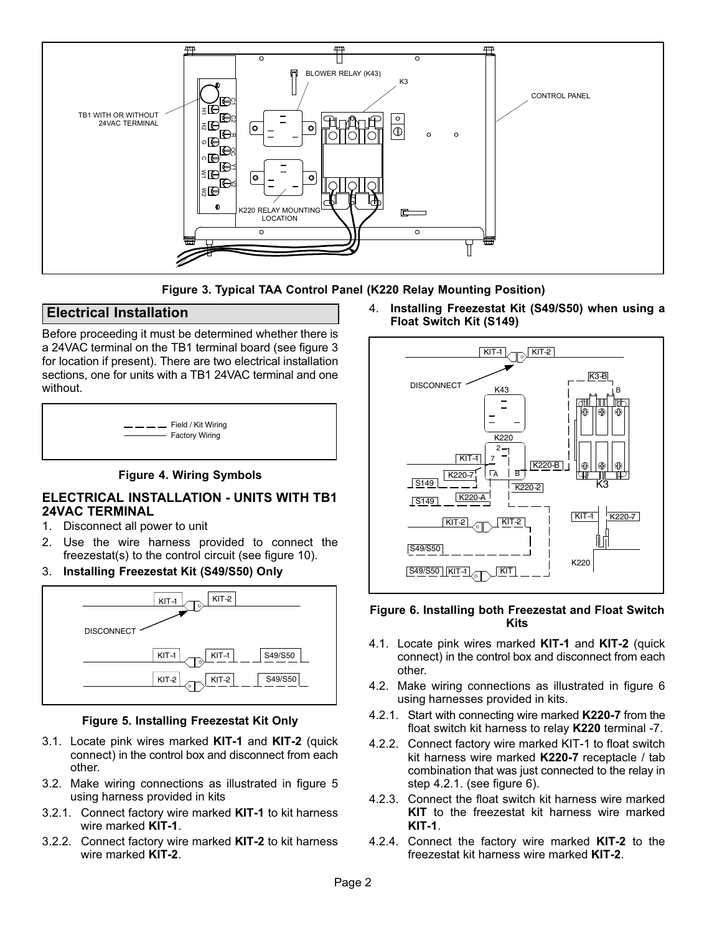<span id="page-1-0"></span>

Figure 3. Typical TAA Control Panel (K220 Relay Mounting Position)

## Electrical Installation

Before proceeding it must be determined whether there is a 24VAC terminal on the TB1 terminal board (see figure 3 for location if present). There are two electrical installation sections, one for units with a TB1 24VAC terminal and one without.

| $  -$ | Field / Kit Wiring    |
|-------|-----------------------|
|       | <b>Factory Wiring</b> |
|       |                       |
|       |                       |

#### Figure 4. Wiring Symbols

### ELECTRICAL INSTALLATION − UNITS WITH TB1 24VAC TERMINAL

- 1. Disconnect all power to unit
- 2. Use the wire harness provided to connect the freezestat(s) to the control circuit (see figure [10\)](#page-3-0).
- 3. Installing Freezestat Kit (S49/S50) Only



#### Figure 5. Installing Freezestat Kit Only

- 3.1. Locate pink wires marked KIT−1 and KIT−2 (quick connect) in the control box and disconnect from each other.
- 3.2. Make wiring connections as illustrated in figure 5 using harness provided in kits
- 3.2.1. Connect factory wire marked KIT−1 to kit harness wire marked KIT−1.
- 3.2.2. Connect factory wire marked KIT−2 to kit harness wire marked **KIT-2.**

4. Installing Freezestat Kit (S49/S50) when using a Float Switch Kit (S149)



#### Figure 6. Installing both Freezestat and Float Switch Kits

- 4.1. Locate pink wires marked KIT−1 and KIT−2 (quick connect) in the control box and disconnect from each other.
- 4.2. Make wiring connections as illustrated in figure 6 using harnesses provided in kits.
- 4.2.1. Start with connecting wire marked K220−7 from the float switch kit harness to relay K220 terminal −7.
- 4.2.2. Connect factory wire marked KIT−1 to float switch kit harness wire marked K220-7 receptacle / tab combination that was just connected to the relay in step 4.2.1. (see figure 6).
- 4.2.3. Connect the float switch kit harness wire marked KIT to the freezestat kit harness wire marked KIT−1.
- 4.2.4. Connect the factory wire marked KIT−2 to the freezestat kit harness wire marked KIT−2.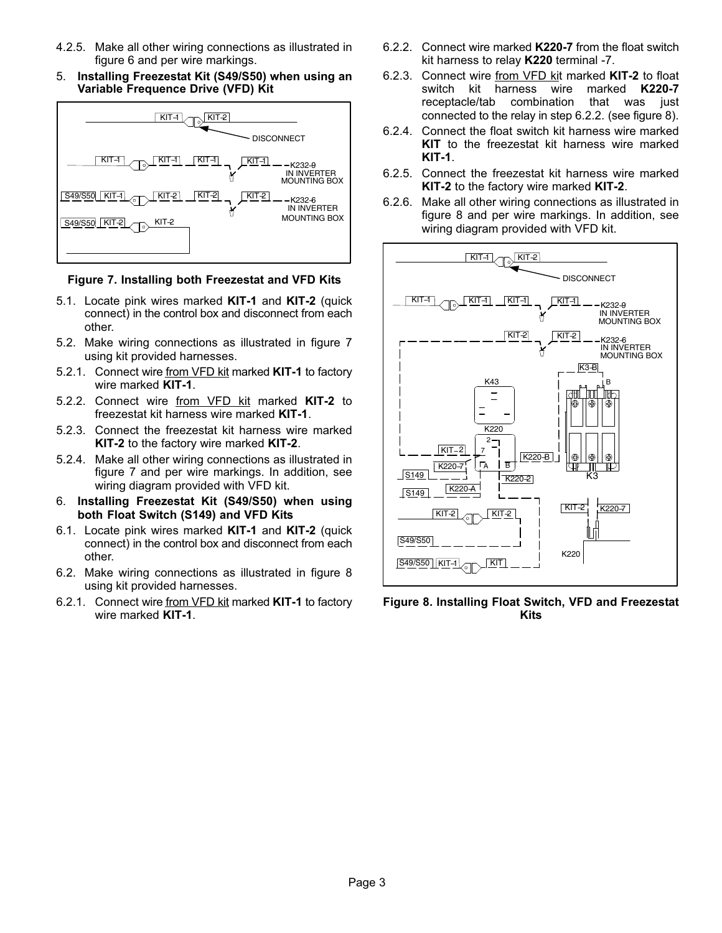- 4.2.5. Make all other wiring connections as illustrated in figure [6](#page-1-0) and per wire markings.
- 5. Installing Freezestat Kit (S49/S50) when using an Variable Frequence Drive (VFD) Kit



#### Figure 7. Installing both Freezestat and VFD Kits

- 5.1. Locate pink wires marked KIT−1 and KIT−2 (quick connect) in the control box and disconnect from each other.
- 5.2. Make wiring connections as illustrated in figure 7 using kit provided harnesses.
- 5.2.1. Connect wire from VFD kit marked KIT−1 to factory wire marked KIT−1.
- 5.2.2. Connect wire from VFD kit marked KIT−2 to freezestat kit harness wire marked KIT−1.
- 5.2.3. Connect the freezestat kit harness wire marked KIT−2 to the factory wire marked KIT−2.
- 5.2.4. Make all other wiring connections as illustrated in figure 7 and per wire markings. In addition, see wiring diagram provided with VFD kit.
- 6. Installing Freezestat Kit (S49/S50) when using both Float Switch (S149) and VFD Kits
- 6.1. Locate pink wires marked KIT−1 and KIT−2 (quick connect) in the control box and disconnect from each other.
- 6.2. Make wiring connections as illustrated in figure 8 using kit provided harnesses.
- 6.2.1. Connect wire from VFD kit marked KIT−1 to factory wire marked KIT−1.
- 6.2.2. Connect wire marked K220−7 from the float switch kit harness to relay K220 terminal −7.
- 6.2.3. Connect wire from VFD kit marked KIT−2 to float switch kit harness wire marked K220−7 receptacle/tab combination that was just connected to the relay in step 6.2.2. (see figure 8).
- 6.2.4. Connect the float switch kit harness wire marked KIT to the freezestat kit harness wire marked KIT−1.
- 6.2.5. Connect the freezestat kit harness wire marked KIT−2 to the factory wire marked KIT−2.
- 6.2.6. Make all other wiring connections as illustrated in figure 8 and per wire markings. In addition, see wiring diagram provided with VFD kit.



Figure 8. Installing Float Switch, VFD and Freezestat Kits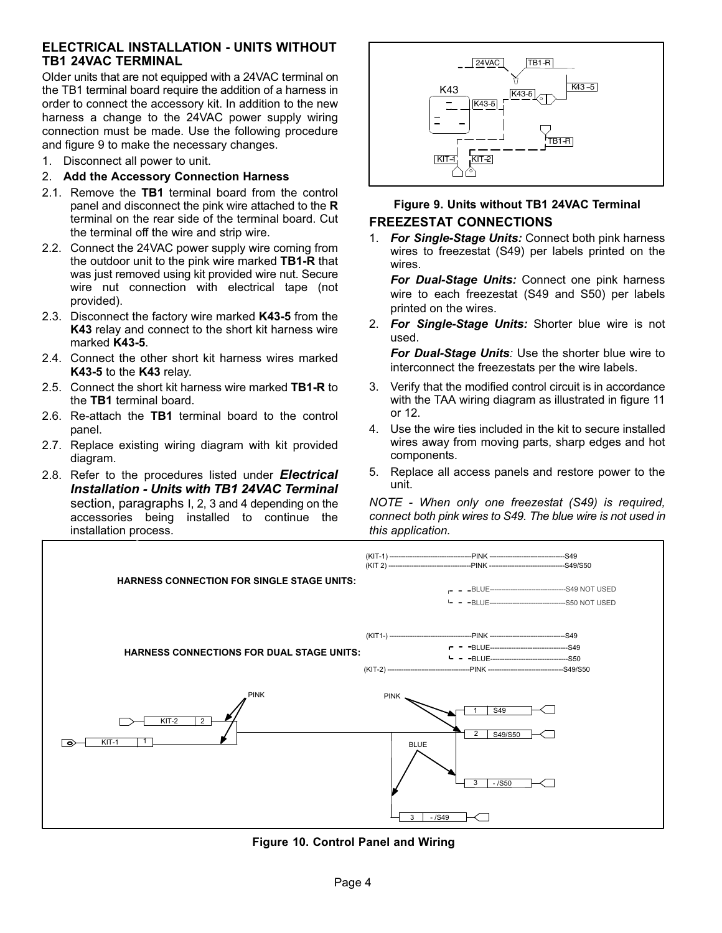### <span id="page-3-0"></span>ELECTRICAL INSTALLATION − UNITS WITHOUT TB1 24VAC TERMINAL

Older units that are not equipped with a 24VAC terminal on the TB1 terminal board require the addition of a harness in order to connect the accessory kit. In addition to the new harness a change to the 24VAC power supply wiring connection must be made. Use the following procedure and figure 9 to make the necessary changes.

1. Disconnect all power to unit.

#### 2. Add the Accessory Connection Harness

- 2.1. Remove the TB1 terminal board from the control panel and disconnect the pink wire attached to the R terminal on the rear side of the terminal board. Cut the terminal off the wire and strip wire.
- 2.2. Connect the 24VAC power supply wire coming from the outdoor unit to the pink wire marked TB1−R that was just removed using kit provided wire nut. Secure wire nut connection with electrical tape (not provided).
- 2.3. Disconnect the factory wire marked K43-5 from the K43 relay and connect to the short kit harness wire marked K43−5.
- 2.4. Connect the other short kit harness wires marked K43−5 to the K43 relay.
- 2.5. Connect the short kit harness wire marked TB1−R to the TB1 terminal board.
- 2.6. Re-attach the TB1 terminal board to the control panel.
- 2.7. Replace existing wiring diagram with kit provided diagram.
- 2.8. Refer to the procedures listed under *Electrical*<br>**Installation Units with TB1 24VAC Terminal** section, paragraphs I, 2, 3 and 4 depending on the accessories being installed to continue the installation process.



## Figure 9. Units without TB1 24VAC Terminal FREEZESTAT CONNECTIONS

1. For Single-Stage Units: Connect both pink harness wires to freezestat (S49) per labels printed on the wires.

For Dual−Stage Units: Connect one pink harness wire to each freezestat (S49 and S50) per labels printed on the wires.

2. For Single-Stage Units: Shorter blue wire is not used.

For Dual−Stage Units: Use the shorter blue wire to interconnect the freezestats per the wire labels.

- 3. Verify that the modified control circuit is in accordance with the TAA wiring diagram as illustrated in figure [11](#page-4-0) or [12](#page-5-0).
- 4. Use the wire ties included in the kit to secure installed wires away from moving parts, sharp edges and hot components.
- 5. Replace all access panels and restore power to the unit.

NOTE − When only one freezestat (S49) is required, connect both pink wires to S49. The blue wire is not used in this application.



Figure 10. Control Panel and Wiring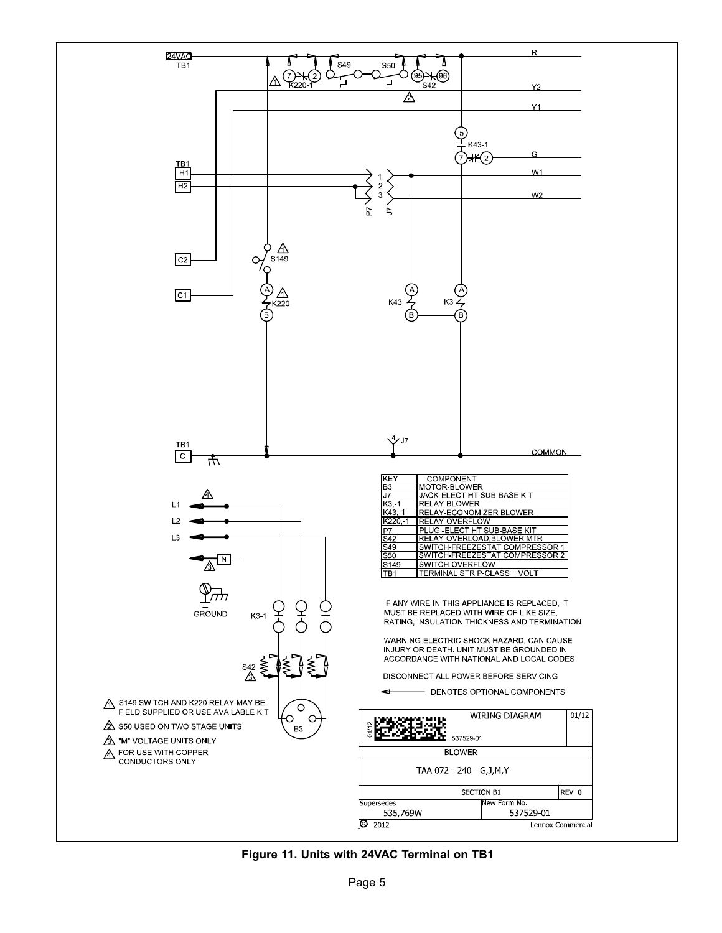<span id="page-4-0"></span>

Figure 11. Units with 24VAC Terminal on TB1